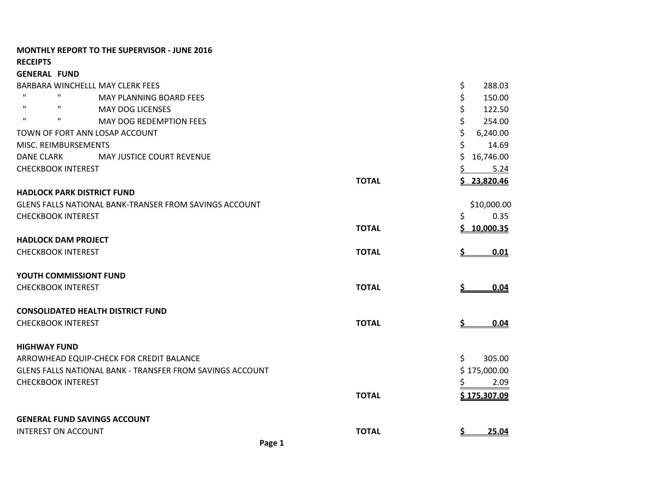|                                   | <b>MONTHLY REPORT TO THE SUPERVISOR - JUNE 2016</b>           |              |                  |
|-----------------------------------|---------------------------------------------------------------|--------------|------------------|
| <b>RECEIPTS</b>                   |                                                               |              |                  |
| <b>GENERAL FUND</b>               |                                                               |              |                  |
|                                   | BARBARA WINCHELLL MAY CLERK FEES                              |              | \$<br>288.03     |
| $\mathbf{H}$<br>$\mathbf{H}$      | <b>MAY PLANNING BOARD FEES</b>                                |              | \$<br>150.00     |
| $\mathbf{H}$<br>$\mathbf{H}$      | <b>MAY DOG LICENSES</b>                                       |              | \$<br>122.50     |
| $\mathbf{H}$<br>$\mathbf{H}$      | <b>MAY DOG REDEMPTION FEES</b>                                |              | \$<br>254.00     |
|                                   | TOWN OF FORT ANN LOSAP ACCOUNT                                |              | \$<br>6,240.00   |
| MISC. REIMBURSEMENTS              |                                                               |              | \$<br>14.69      |
| <b>DANE CLARK</b>                 | MAY JUSTICE COURT REVENUE                                     |              | \$<br>16,746.00  |
| <b>CHECKBOOK INTEREST</b>         |                                                               |              | 5.24             |
|                                   |                                                               | <b>TOTAL</b> | 23,820.46<br>Ś   |
| <b>HADLOCK PARK DISTRICT FUND</b> |                                                               |              |                  |
|                                   | <b>GLENS FALLS NATIONAL BANK-TRANSER FROM SAVINGS ACCOUNT</b> |              | \$10,000.00      |
| <b>CHECKBOOK INTEREST</b>         |                                                               |              | 0.35<br>\$       |
|                                   |                                                               | <b>TOTAL</b> | 10,000.35<br>S   |
| <b>HADLOCK DAM PROJECT</b>        |                                                               |              |                  |
| <b>CHECKBOOK INTEREST</b>         |                                                               | <b>TOTAL</b> | 0.01             |
| <b>YOUTH COMMISSIONT FUND</b>     |                                                               |              |                  |
| <b>CHECKBOOK INTEREST</b>         |                                                               | <b>TOTAL</b> | \$<br>0.04       |
|                                   | <b>CONSOLIDATED HEALTH DISTRICT FUND</b>                      |              |                  |
| <b>CHECKBOOK INTEREST</b>         |                                                               | <b>TOTAL</b> | 0.04<br><u>s</u> |
| <b>HIGHWAY FUND</b>               |                                                               |              |                  |
|                                   | ARROWHEAD EQUIP-CHECK FOR CREDIT BALANCE                      |              | \$<br>305.00     |
|                                   | GLENS FALLS NATIONAL BANK - TRANSFER FROM SAVINGS ACCOUNT     |              | \$175,000.00     |
| <b>CHECKBOOK INTEREST</b>         |                                                               |              | 2.09             |
|                                   |                                                               | <b>TOTAL</b> | \$175,307.09     |
|                                   | <b>GENERAL FUND SAVINGS ACCOUNT</b>                           |              |                  |
| <b>INTEREST ON ACCOUNT</b>        |                                                               | <b>TOTAL</b> | 25.04            |
|                                   |                                                               |              |                  |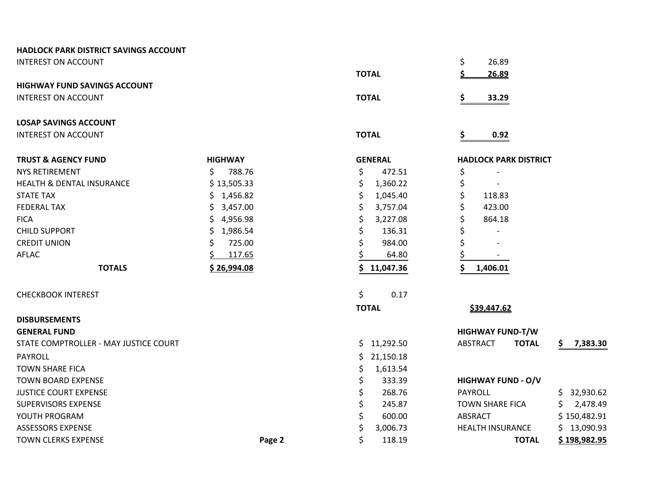| <b>HADLOCK PARK DISTRICT SAVINGS ACCOUNT</b> |                |                |                                 |                |
|----------------------------------------------|----------------|----------------|---------------------------------|----------------|
| <b>INTEREST ON ACCOUNT</b>                   |                |                | \$<br>26.89                     |                |
|                                              |                | <b>TOTAL</b>   | 26.89                           |                |
| <b>HIGHWAY FUND SAVINGS ACCOUNT</b>          |                |                |                                 |                |
| <b>INTEREST ON ACCOUNT</b>                   |                | <b>TOTAL</b>   | \$<br>33.29                     |                |
| <b>LOSAP SAVINGS ACCOUNT</b>                 |                |                |                                 |                |
| <b>INTEREST ON ACCOUNT</b>                   |                | <b>TOTAL</b>   | \$<br>0.92                      |                |
| <b>TRUST &amp; AGENCY FUND</b>               | <b>HIGHWAY</b> | <b>GENERAL</b> | <b>HADLOCK PARK DISTRICT</b>    |                |
| <b>NYS RETIREMENT</b>                        | \$<br>788.76   | \$<br>472.51   | \$                              |                |
| <b>HEALTH &amp; DENTAL INSURANCE</b>         | \$13,505.33    | \$<br>1,360.22 | \$                              |                |
| <b>STATE TAX</b>                             | \$1,456.82     | Ś.<br>1,045.40 | \$<br>118.83                    |                |
| <b>FEDERAL TAX</b>                           | \$3,457.00     | 3,757.04       | \$<br>423.00                    |                |
| <b>FICA</b>                                  | \$4,956.98     | 3,227.08       | \$<br>864.18                    |                |
| <b>CHILD SUPPORT</b>                         | \$1,986.54     | 136.31         | \$                              |                |
| <b>CREDIT UNION</b>                          | \$<br>725.00   | \$<br>984.00   | \$                              |                |
| <b>AFLAC</b>                                 | 117.65         | 64.80          |                                 |                |
| <b>TOTALS</b>                                | \$26,994.08    | 11,047.36      | Ś<br>1,406.01                   |                |
| <b>CHECKBOOK INTEREST</b>                    |                | \$<br>0.17     |                                 |                |
|                                              |                | <b>TOTAL</b>   | \$39,447.62                     |                |
| <b>DISBURSEMENTS</b>                         |                |                |                                 |                |
| <b>GENERAL FUND</b>                          |                |                | <b>HIGHWAY FUND-T/W</b>         |                |
| STATE COMPTROLLER - MAY JUSTICE COURT        |                | \$11,292.50    | <b>ABSTRACT</b><br><b>TOTAL</b> | 7,383.30<br>S. |
| <b>PAYROLL</b>                               |                | 21,150.18      |                                 |                |
| <b>TOWN SHARE FICA</b>                       |                | 1,613.54<br>\$ |                                 |                |
| <b>TOWN BOARD EXPENSE</b>                    |                | \$<br>333.39   | <b>HIGHWAY FUND - O/V</b>       |                |
| <b>JUSTICE COURT EXPENSE</b>                 |                | \$<br>268.76   | <b>PAYROLL</b>                  | \$32,930.62    |
| <b>SUPERVISORS EXPENSE</b>                   |                | \$<br>245.87   | <b>TOWN SHARE FICA</b>          | 2,478.49       |
| YOUTH PROGRAM                                |                | \$<br>600.00   | ABSRACT                         | \$150,482.91   |
| <b>ASSESSORS EXPENSE</b>                     |                | 3,006.73       | <b>HEALTH INSURANCE</b>         | \$13,090.93    |
| <b>TOWN CLERKS EXPENSE</b>                   | Page 2         | \$<br>118.19   | <b>TOTAL</b>                    | \$198,982.95   |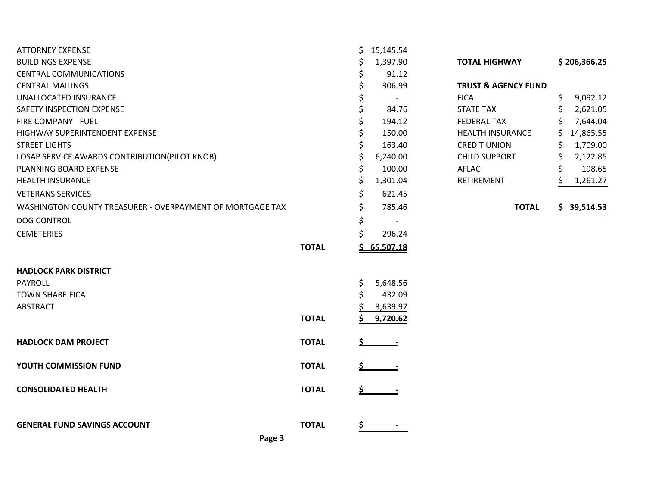| <b>ATTORNEY EXPENSE</b>                                   |              | \$        | 15,145.54                |                                |                |
|-----------------------------------------------------------|--------------|-----------|--------------------------|--------------------------------|----------------|
| <b>BUILDINGS EXPENSE</b>                                  |              | Ś         | 1,397.90                 | <b>TOTAL HIGHWAY</b>           | \$206,366.25   |
| <b>CENTRAL COMMUNICATIONS</b>                             |              | \$        | 91.12                    |                                |                |
| <b>CENTRAL MAILINGS</b>                                   |              | \$        | 306.99                   | <b>TRUST &amp; AGENCY FUND</b> |                |
| UNALLOCATED INSURANCE                                     |              | \$        | $\overline{\phantom{a}}$ | <b>FICA</b>                    | \$<br>9,092.12 |
| SAFETY INSPECTION EXPENSE                                 |              | \$        | 84.76                    | <b>STATE TAX</b>               | Ś<br>2,621.05  |
| FIRE COMPANY - FUEL                                       |              | \$        | 194.12                   | <b>FEDERAL TAX</b>             | 7,644.04       |
| HIGHWAY SUPERINTENDENT EXPENSE                            |              | \$        | 150.00                   | <b>HEALTH INSURANCE</b>        | 14,865.55<br>S |
| <b>STREET LIGHTS</b>                                      |              | \$        | 163.40                   | <b>CREDIT UNION</b>            | 1,709.00       |
| LOSAP SERVICE AWARDS CONTRIBUTION(PILOT KNOB)             |              | \$        | 6,240.00                 | <b>CHILD SUPPORT</b>           | \$<br>2,122.85 |
| PLANNING BOARD EXPENSE                                    |              | \$        | 100.00                   | AFLAC                          | \$<br>198.65   |
| <b>HEALTH INSURANCE</b>                                   |              | \$        | 1,301.04                 | <b>RETIREMENT</b>              | 1,261.27       |
| <b>VETERANS SERVICES</b>                                  |              | \$        | 621.45                   |                                |                |
| WASHINGTON COUNTY TREASURER - OVERPAYMENT OF MORTGAGE TAX |              | \$        | 785.46                   | <b>TOTAL</b>                   | \$39,514.53    |
| <b>DOG CONTROL</b>                                        |              | \$        | $\overline{\phantom{a}}$ |                                |                |
| <b>CEMETERIES</b>                                         |              | Ś.        | 296.24                   |                                |                |
|                                                           | <b>TOTAL</b> |           | \$65,507.18              |                                |                |
| <b>HADLOCK PARK DISTRICT</b>                              |              |           |                          |                                |                |
| <b>PAYROLL</b>                                            |              | \$        | 5,648.56                 |                                |                |
| <b>TOWN SHARE FICA</b>                                    |              | \$        | 432.09                   |                                |                |
| <b>ABSTRACT</b>                                           |              |           | 3,639.97                 |                                |                |
|                                                           | <b>TOTAL</b> | \$        | 9,720.62                 |                                |                |
| <b>HADLOCK DAM PROJECT</b>                                | <b>TOTAL</b> |           |                          |                                |                |
| YOUTH COMMISSION FUND                                     | <b>TOTAL</b> |           |                          |                                |                |
| <b>CONSOLIDATED HEALTH</b>                                | <b>TOTAL</b> | <u>\$</u> |                          |                                |                |
|                                                           |              |           |                          |                                |                |
| <b>GENERAL FUND SAVINGS ACCOUNT</b>                       | <b>TOTAL</b> | <u>\$</u> |                          |                                |                |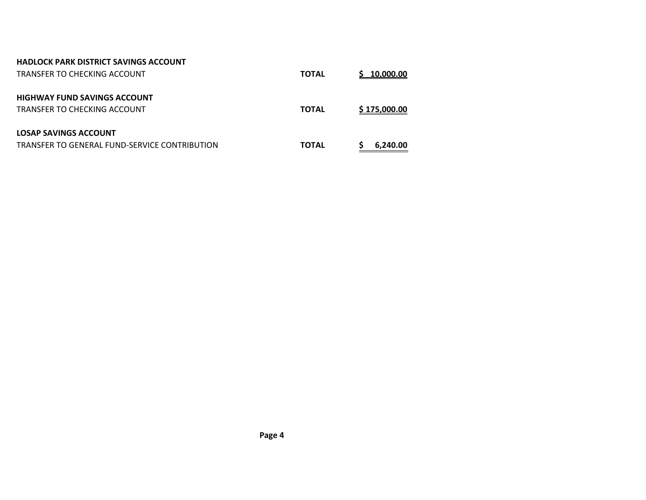| <b>HADLOCK PARK DISTRICT SAVINGS ACCOUNT</b>  |              |              |
|-----------------------------------------------|--------------|--------------|
| TRANSFER TO CHECKING ACCOUNT                  | <b>TOTAL</b> | \$10,000.00  |
| <b>HIGHWAY FUND SAVINGS ACCOUNT</b>           |              |              |
| TRANSFER TO CHECKING ACCOUNT                  | <b>TOTAL</b> | \$175,000.00 |
| LOSAP SAVINGS ACCOUNT                         |              |              |
| TRANSFER TO GENERAL FUND-SERVICE CONTRIBUTION | <b>TOTAL</b> | 6.240.00     |